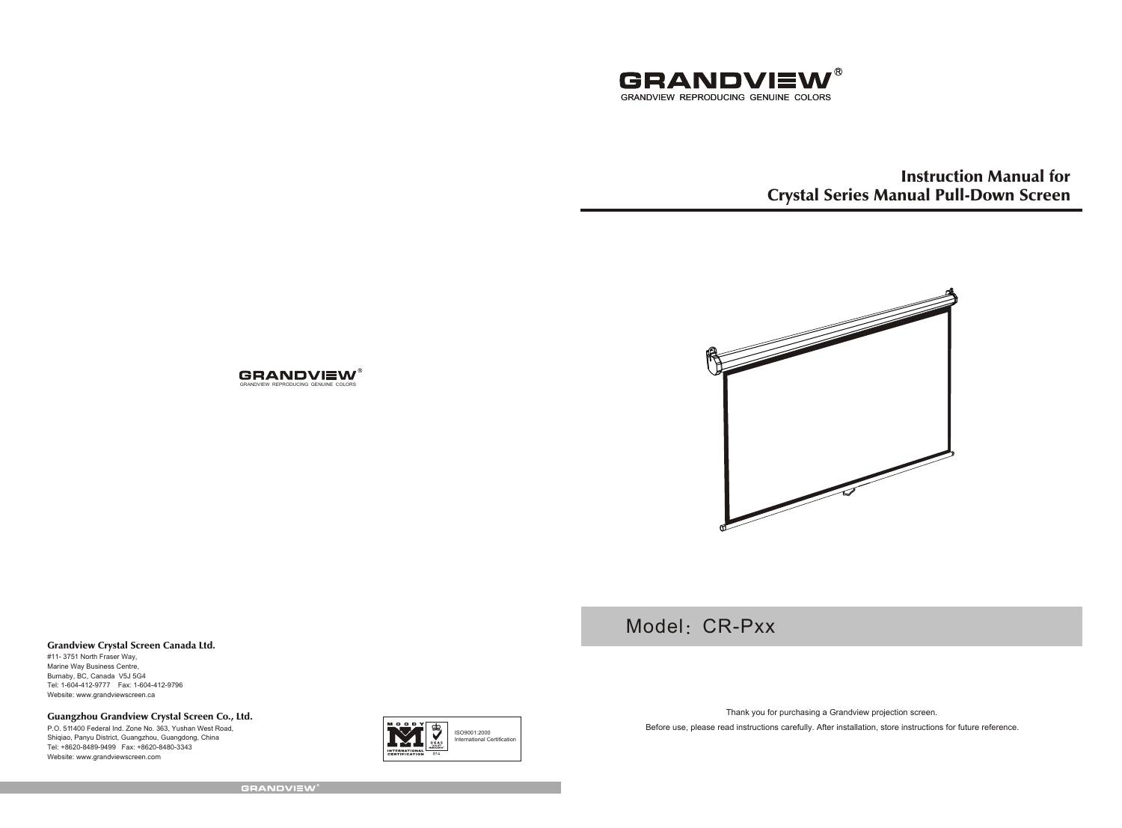

Instruction Manual for Crystal Series Manual Pull-Down Screen



Model: CR-Pxx

#### Grandview Crystal Screen Canada Ltd.

#11- 3751 North Fraser Way, Marine Way Business Centre, Burnaby, BC, Canada V5J 5G4 Tel: 1-604-412-9777 Fax: 1-604-412-9796 Website: www.grandviewscreen.ca

Guangzhou Grandview Crystal Screen Co., Ltd.

P.O. 511400 Federal Ind. Zone No. 363, Yushan West Road, Shiqiao, Panyu District, Guangzhou, Guangdong, China Tel: +8620-8489-9499 Fax: +8620-8480-3343 Website: www.grandviewscreen.com



Thank you for purchasing a Grandview projection screen.

Before use, please read instructions carefully. After installation, store instructions for future reference.

**GRANDVIEW®** 

GRANDVIEW REPRODUCING GENUINE COLORS

**GRANDVIEW®**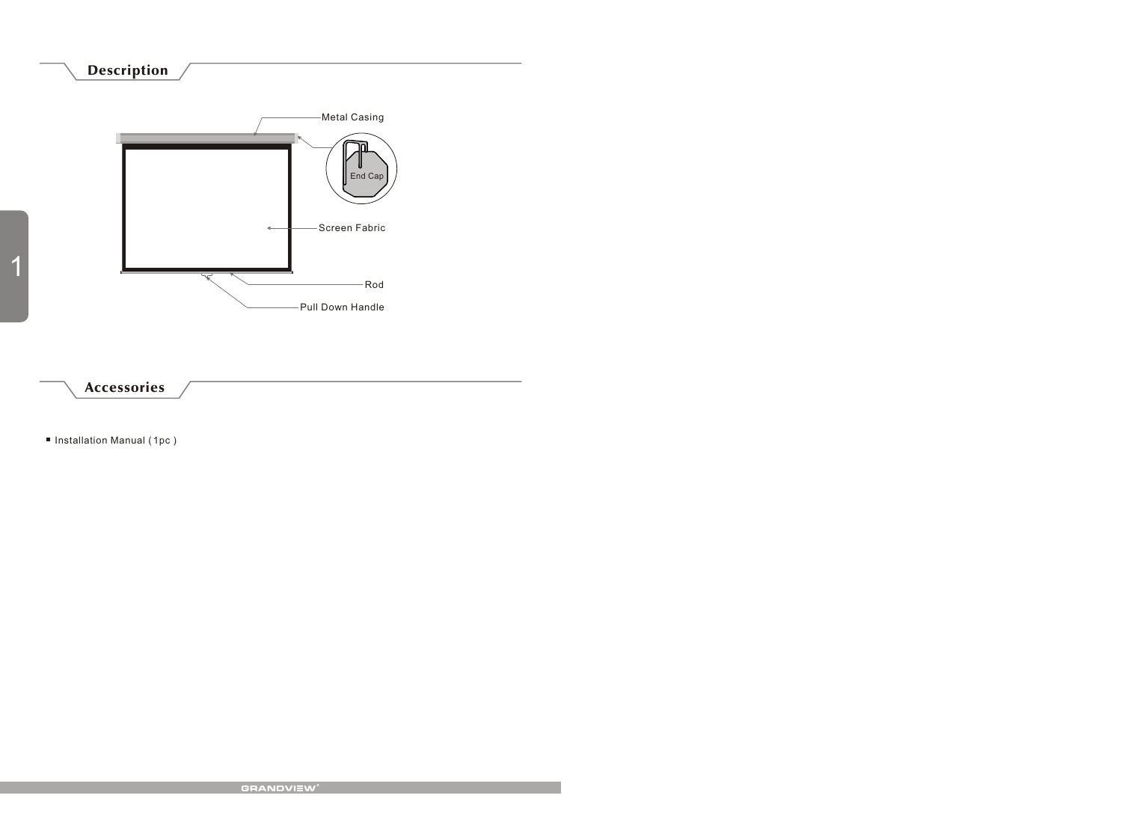## Description



Accessories

■ Installation Manual (1pc)

1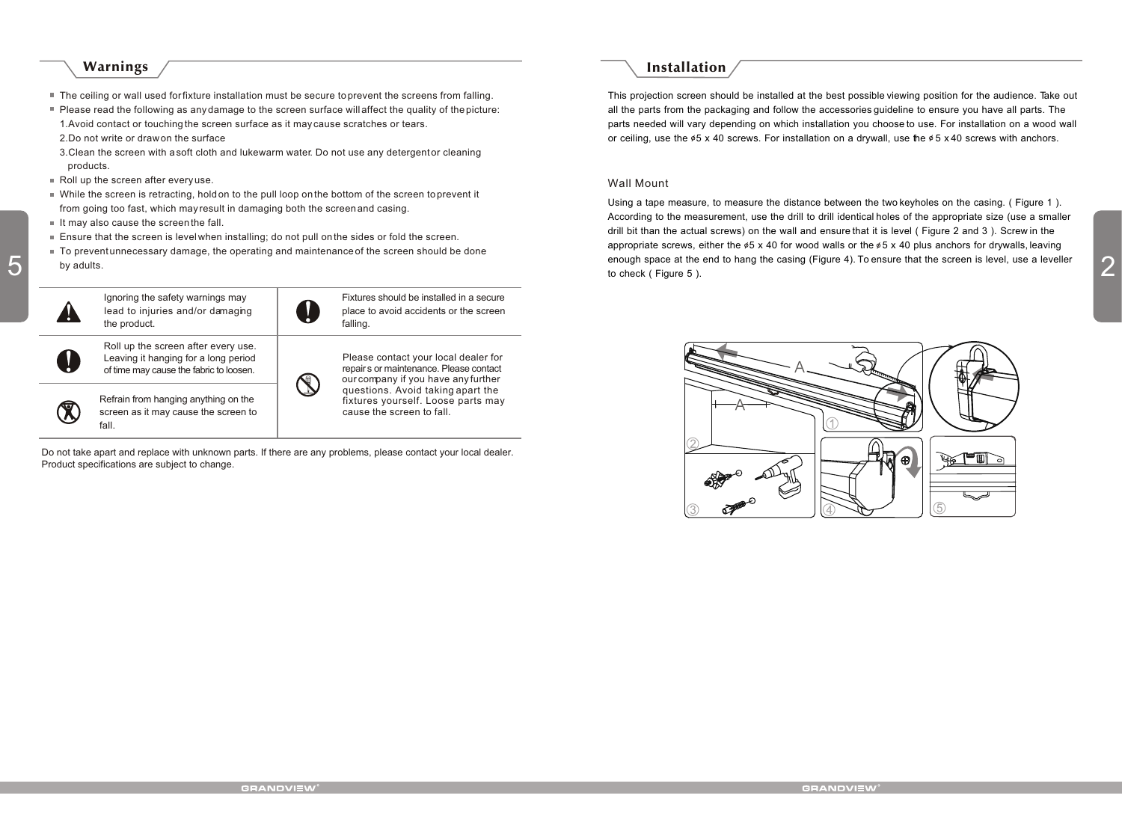#### Warnings

- The ceiling or wall used for fixture installation must be secure to prevent the screens from falling.
- Please read the following as any damage to the screen surface will affect the quality of the picture: 1.Avoid contact or touching the screen surface as it may cause scratches or tears.
- 2.Do not write or draw on the surface
- 3. Clean the screen with a soft cloth and lukewarm water. Do not use any detergent or cleaning products.
- Roll up the screen after every use.
- While the screen is retracting, hold on to the pull loop on the bottom of the screen to prevent it from going too fast, which may result in damaging both the screen and casing.
- $\blacksquare$  It may also cause the screen the fall.
- Ensure that the screen is level when installing; do not pull on the sides or fold the screen.
- To prevent unnecessary damage, the operating and maintenance of the screen should be done by adults.



Do not take apart and replace with unknown parts. If there are any problems, please contact your local dealer. Product specifications are subject to change.

## Installation

This projection screen should be installed at the best possible viewing position for the audience. Take out all the parts from the packaging and follow the accessories guideline to ensure you have all parts. The parts needed will vary depending on which installation you choose to use. For installation on a wood wall or ceiling, use the  $\phi$ 5 x 40 screws. For installation on a drywall, use the  $\phi$ 5 x 40 screws with anchors.

#### Wall Mount

by adults.<br>
by adults. We are the screen is level, use a leveller to check (Figure 5). Using a tape measure, to measure the distance between the two keyholes on the casing. ( Figure 1 ). According to the measurement, use the drill to drill identical holes of the appropriate size (use a smaller drill bit than the actual screws) on the wall and ensure that it is level ( Figure 2 and 3 ). Screw in the appropriate screws, either the  $\&6 \times 40$  for wood walls or the  $\&6 \times 40$  plus anchors for drywalls, leaving to check (Figure 5).